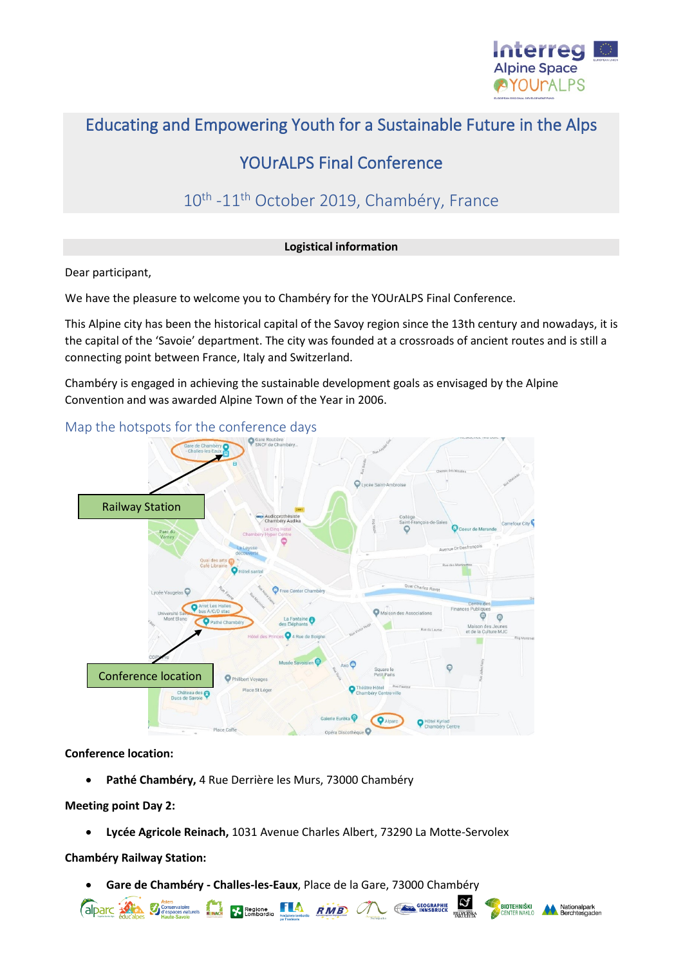

# Educating and Empowering Youth for a Sustainable Future in the Alps

# YOUrALPS Final Conference

# 10<sup>th</sup> -11<sup>th</sup> October 2019, Chambéry, France

#### **Logistical information**

Dear participant,

We have the pleasure to welcome you to Chambéry for the YOUrALPS Final Conference.

This Alpine city has been the historical capital of the Savoy region since the 13th century and nowadays, it is the capital of the 'Savoie' department. The city was founded at a crossroads of ancient routes and is still a connecting point between France, Italy and Switzerland.

Chambéry is engaged in achieving the sustainable development goals as envisaged by the Alpine Convention and was awarded Alpine Town of the Year in 2006.



#### **Conference location:**

• **Pathé Chambéry,** 4 Rue Derrière les Murs, 73000 Chambéry

#### **Meeting point Day 2:**

• **Lycée Agricole Reinach,** 1031 Avenue Charles Albert, 73290 La Motte-Servolex

**Chambéry Railway Station:**

• **Gare de Chambéry - Challes-les-Eaux**, Place de la Gare, 73000 Chambéry

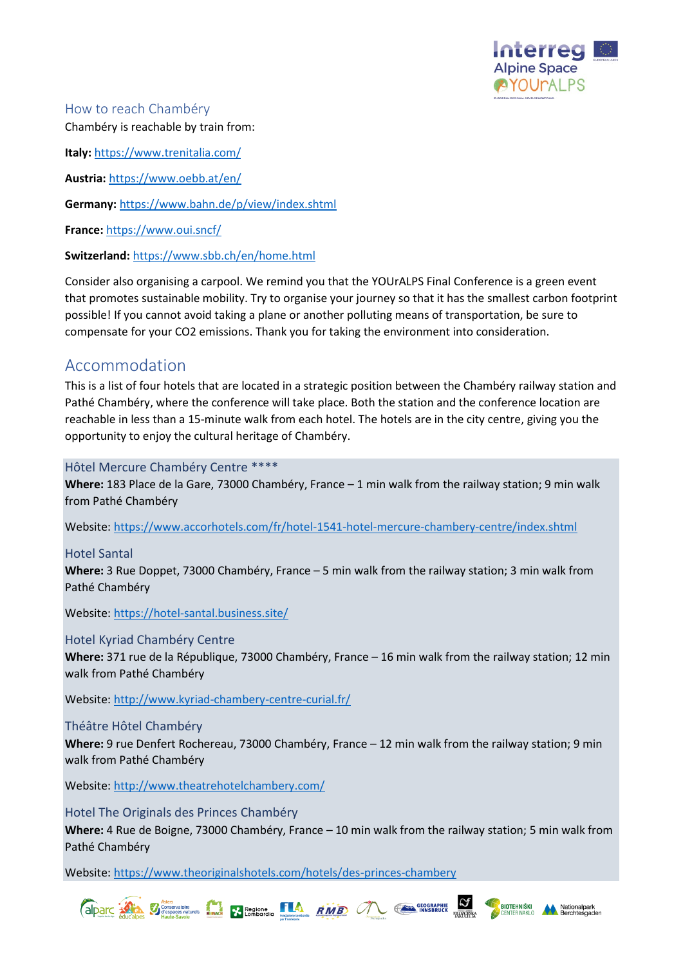

How to reach Chambéry Chambéry is reachable by train from:

**Italy:** <https://www.trenitalia.com/>

**Austria:** <https://www.oebb.at/en/>

**Germany:** <https://www.bahn.de/p/view/index.shtml>

**France:** <https://www.oui.sncf/>

**Switzerland:** <https://www.sbb.ch/en/home.html>

Consider also organising a carpool. We remind you that the YOUrALPS Final Conference is a green event that promotes sustainable mobility. Try to organise your journey so that it has the smallest carbon footprint possible! If you cannot avoid taking a plane or another polluting means of transportation, be sure to compensate for your CO2 emissions. Thank you for taking the environment into consideration.

## Accommodation

This is a list of four hotels that are located in a strategic position between the Chambéry railway station and Pathé Chambéry, where the conference will take place. Both the station and the conference location are reachable in less than a 15-minute walk from each hotel. The hotels are in the city centre, giving you the opportunity to enjoy the cultural heritage of Chambéry.

### Hôtel Mercure Chambéry Centre \*\*\*\*

**Where:** 183 Place de la Gare, 73000 Chambéry, France – 1 min walk from the railway station; 9 min walk from Pathé Chambéry

Website:<https://www.accorhotels.com/fr/hotel-1541-hotel-mercure-chambery-centre/index.shtml>

### Hotel Santal

**Where:** 3 Rue Doppet, 73000 Chambéry, France – 5 min walk from the railway station; 3 min walk from Pathé Chambéry

Website:<https://hotel-santal.business.site/>

### Hotel Kyriad Chambéry Centre

**Where:** 371 rue de la République, 73000 Chambéry, France – 16 min walk from the railway station; 12 min walk from Pathé Chambéry

Website:<http://www.kyriad-chambery-centre-curial.fr/>

### Théâtre Hôtel Chambéry

**Where:** 9 rue Denfert Rochereau, 73000 Chambéry, France – 12 min walk from the railway station; 9 min walk from Pathé Chambéry

Website:<http://www.theatrehotelchambery.com/>

### Hotel The Originals des Princes Chambéry

**Where:** 4 Rue de Boigne, 73000 Chambéry, France – 10 min walk from the railway station; 5 min walk from Pathé Chambéry

Website:<https://www.theoriginalshotels.com/hotels/des-princes-chambery>



**BIOTEHNIŠKI**<br>CENTER NAKLO